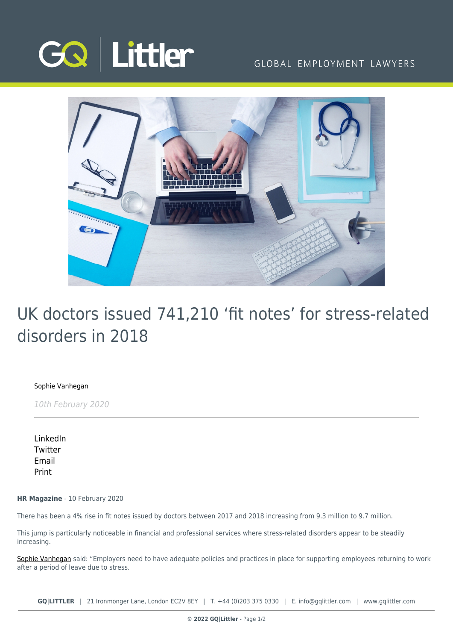

## GLOBAL EMPLOYMENT LAWYERS



## UK doctors issued 741,210 'fit notes' for stress-related disorders in 2018

[Sophie Vanhegan](https://www.gqlittler.com/about-us/the-team/sophie-vanhegan)

10th February 2020

[LinkedIn](https://www.linkedin.com/shareArticle?mini=true&url=https%3A%2F%2Fwww.gqlittler.com%2Fresources%2Fnews-and-views%2Fuk-doctors-issued-741-210-fit-notes-for-stress-related-disorders-in-2018.htm%3Funlock%3Dtrue&title=UK+doctors+issued+741%2C210+%E2%80%98fit+notes%E2%80%99+for+stress-related+disorders+in+2018&summary=Finding+effective+ways+to+deal+with+work-related+stress+has+become+increasingly+important+for+employers.&source=GQ+%7C+Littler) **[Twitter](https://twitter.com/share?text=UK+doctors+issued+741%2C210+%E2%80%98fit+notes%E2%80%99+for+stress-related+disorders+in+2018&url=https%3A%2F%2Fwww.gqlittler.com%2Fresources%2Fnews-and-views%2Fuk-doctors-issued-741-210-fit-notes-for-stress-related-disorders-in-2018.htm&hashtags=)** [Email](mailto:?subject=UK doctors issued 741,210 ‘fit notes’ for stress-related disorders in 2018&body=I) [Print](https://www.bg-pdf.co.uk/_GQ/page.php?M=6148523063484d364c793933643363755a33467361585230624756794c6d4e76625339795a584e7664584a6a5a584d76626d563363793168626d5174646d6c6c64334d76645773745a47396a644739796379317063334e315a5751744e7a51784c5449784d43316d61585174626d39305a584d745a6d39794c584e30636d567a637931795a5778686447566b4c575270633239795a47567963793170626930794d4445344c6d683062534e414931564c4947527659335276636e4d6761584e7a6457566b494463304d5377794d544167346f43595a6d6c30494735766447567a346f435a49475a766369427a64484a6c63334d74636d56735958526c5a43426b61584e76636d526c636e4d67615734674d6a41784f434e41493356724c57527659335276636e4d7461584e7a6457566b4c5463304d5330794d5441745a6d6c304c5735766447567a4c575a766369317a64484a6c63334d74636d56735958526c5a43316b61584e76636d526c636e4d74615734744d6a41784f413d3d)

**HR Magazine** - 10 February 2020

There has been a 4% rise in fit notes issued by doctors between 2017 and 2018 increasing from 9.3 million to 9.7 million.

This jump is particularly noticeable in financial and professional services where stress-related disorders appear to be steadily increasing.

[Sophie Vanhegan](https://www.gqlittler.com/about-us/the-team/sophie-vanhegan) said: "Employers need to have adequate policies and practices in place for supporting employees returning to work after a period of leave due to stress.

**GQ|LITTLER** | 21 Ironmonger Lane, London EC2V 8EY | T. [+44 \(0\)203 375 0330](https://www.bg-pdf.co.uk/_GQ/tel:+442033750330) | E. [info@gqlittler.com](mailto:info@gqlittler.com) | [www.gqlittler.com](https://www.gqlittler.com)